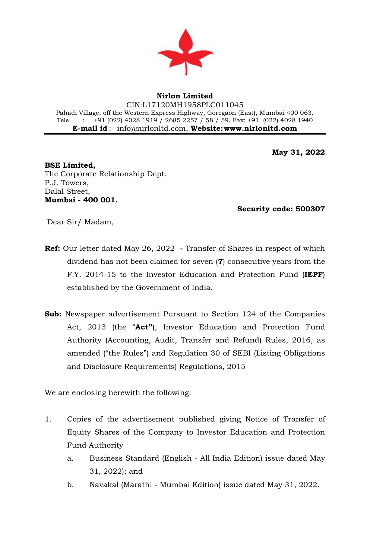

## **Nirlon Limited**

CIN:L17120MH1958PLC011045 Pahadi Village, off the Western Express Highway, Goregaon (East), Mumbai 400 063. Tele : +91 (022) 4028 1919 / 2685 2257 / 58 / 59, Fax: +91 (022) 4028 1940 **E-mail id** : [info@nirlonltd.com,](mailto:info@nirlonltd.com) **Website[:www.nirlonltd.com](http://www.nirlonltd.com/)**

**May 31, 2022**

**BSE Limited,**  The Corporate Relationship Dept. P.J. Towers, Dalal Street, **Mumbai - 400 001.**

 **Security code: 500307** 

Dear Sir/ Madam,

- **Ref:** Our letter dated May 26, 2022 **-** Transfer of Shares in respect of which dividend has not been claimed for seven (**7**) consecutive years from the F.Y. 2014-15 to the Investor Education and Protection Fund (**IEPF**) established by the Government of India.
- **Sub:** Newspaper advertisement Pursuant to Section 124 of the Companies Act, 2013 (the "**Act"**), Investor Education and Protection Fund Authority (Accounting, Audit, Transfer and Refund) Rules, 2016, as amended ("the Rules") and Regulation 30 of SEBI (Listing Obligations and Disclosure Requirements) Regulations, 2015

We are enclosing herewith the following:

- 1. Copies of the advertisement published giving Notice of Transfer of Equity Shares of the Company to Investor Education and Protection Fund Authority
	- a. Business Standard (English All India Edition) issue dated May 31, 2022); and
	- b. Navakal (Marathi Mumbai Edition) issue dated May 31, 2022.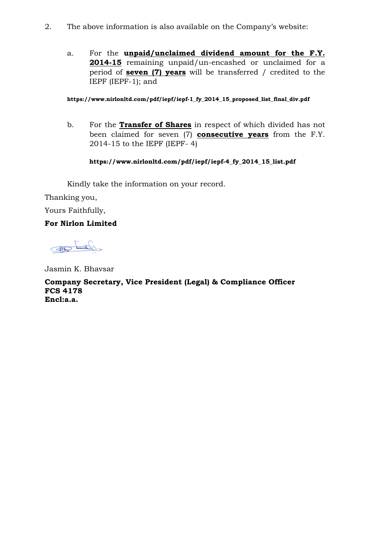- 2. The above information is also available on the Company's website:
	- a. For the **unpaid/unclaimed dividend amount for the F.Y. 2014-15** remaining unpaid/un-encashed or unclaimed for a period of **seven (7) years** will be transferred / credited to the IEPF (IEPF-1); and

## **https://www.nirlonltd.com/pdf/iepf/iepf-1\_fy\_2014\_15\_proposed\_list\_final\_div.pdf**

b. For the **Transfer of Shares** in respect of which divided has not been claimed for seven (7) **consecutive years** from the F.Y. 2014-15 to the IEPF (IEPF- 4)

# **https://www.nirlonltd.com/pdf/iepf/iepf-4\_fy\_2014\_15\_list.pdf**

Kindly take the information on your record.

Thanking you,

Yours Faithfully,

# **For Nirlon Limited**

caldward Cetter

Jasmin K. Bhavsar

**Company Secretary, Vice President (Legal) & Compliance Officer FCS 4178 Encl:a.a.**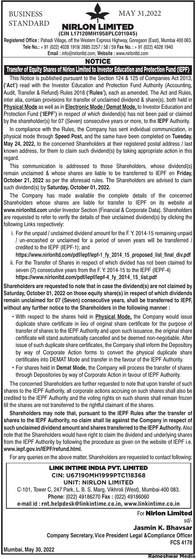### BUSINESS STANDARD

# NIRLON LIMITED

MAY 31,2022

## **(CIN L17120MH1958PLC011045)**

**Registered Office :** Pahadi Village, off the Western Express Highway, Goregaon (East), Mumbai 400 063. **Tele No.:** + 91 (022) 4028 1919/ 2685 2257 / 58 / 59 **Fax No. :** + 91 (022) 4028 1940 **Email :** info@nirlonltd.com, **Website :** www.nirlonltd.com

#### **NOTICE**

Transfer of Equity Shares of Nirlon Limited to Investor Education and Protection Fund (IEPF)

This Notice is published pursuant to the Section 124 & 125 of Companies Act 2013, **('Act')** read with the Investor Education and Protection Fund Authority (Accounting, Audit, Transfer & Refund) Rules 2016 **('Rules'),** each as amended. The Act and Rules, inter alia, contain provisions for transfer of unclaimed dividend & share(s), both held in **Physical Mode** as well as in **Electronic Mode / Demat Mode,** to Investor Education and Protection Fund **('IEPF')** in respect of which dividend(s) has not been paid or claimed by the shareholder(s) for 07 (Seven) consecutive years or more, to the **IEPF** Authority.

In compliance with the Rules, the Company has sent individual communication, in physical mode through **Speed Post,** and the same have been completed on **Tuesday, May 24, 2022,** to the concerned Shareholders at their registered postal address / last known address, for them to claim such dividend(s) by taking appropriate action in this regard.

This communication is addressed to those Shareholders, whose dividend(s) remain unclaimed & whose shares are liable to be transferred to IEPF on **Friday, October 21, 2022** as per the aforesaid rules. The Shareholders are advised to claim such dividend(s) by **Saturday, October 01, 2022.**

The Company has made available the complete details of the concerned Shareholders whose shares are liable for transfer to IEPF on its website at **www.nirlonltd.com** under Investor Section (Financial & Corporate Data). Shareholders are requested to refer to verify the details of their unclaimed dividend(s) by clicking the following Links respectively:

- i. For the unpaid / unclaimed dividend amount for the F. Y. 2014-15 remaining unpaid / un-encashed or unclaimed for a period of seven years will be transferred / credited to the IEPF (IEPF-1); and
- **https://www.nirlonltd.com/pdf/iepf/iepf-1\_fy\_2014\_15\_proposed\_list\_final\_div.pdf** ii. For the Transfer of Shares in respect of which divided has not been claimed for seven (7) consecutive years from the F. Y. 2014-15 to the IEPF (IEPF-4) **https://www.nirlonltd.com/pdf/iepf/iepf-4\_fy\_2014\_15\_list.pdf**

**Shareholders are requested to note that in case the dividend(s) are not claimed by Saturday, October 01, 2022 on those equity share(s) in respect of which dividends remain unclaimed for 07 (Seven) consecutive years, shall be transferred to IEPF, without any further notice to the Shareholders in the following manner :**

- With respect to the shares held in **Physical Mode,** the Company would issue duplicate share certificate in lieu of original share certificate for the purpose of transfer of shares to the IEPF Authority and upon such issuance, the original share certificate will stand automatically cancelled and be deemed non-negotiable. After issue of such duplicate share certificates, the Company shall inform the Depository by way of Corporate Action forms to convert the physical duplicate share certificates into DEMAT Mode and transfer in the favour of the IEPF Authority.
- For shares held in **Demat Mode,** the Company will process the transfer of shares through Depositories by way of Corporate Action in favour of IEPF Authority.

The concerned Shareholders are further requested to note that upon transfer of such shares to the IEPF Authority, all corporate actions accruing on such shares shall also be credited to the IEPF Authority and the voting rights on such shares shall remain frozen till the shares are not transferred to the rightful claimant of the shares.

**Shareholders may note that, pursuant to the IEPF Rules after the transfer of shares to the IEPF Authority, no claim shall lie against the Company in respect of such unclaimed dividend amount and shares transferred to the IEPF Authority.** Also note that the Shareholders would have right to claim the dividend and underlying shares from the IEPF Authority by following the procedure as given on the website of IEPF i.e. **www.iepf.gov.in/IEPF/refund.html.**

For any queries on the above matter, Shareholders are requested to contact following:

LINK INTIME INDIA PVT. LIMITED **CIN: U67190MH1999PTC118368 UNIT: NIRLON LIMITED** C-101, Tower C, 247 Park, L. B. S. Marg, Vikhroli (West), Mumbai-400 083. **Phone:** (022) 49186270 **Fax :** (022) 49186060 **e-mail id :** rnt.helpdesk@linkintime.co.in, www.linkintime.co.in

For Nirlon Limited sd/-

Jasmin K. Bhavsar

**Company Secretary, Vice President Legal &Compliance Officer FCS 4178** 

**Mumbai, May 30, 2022**

Rameshwar Media